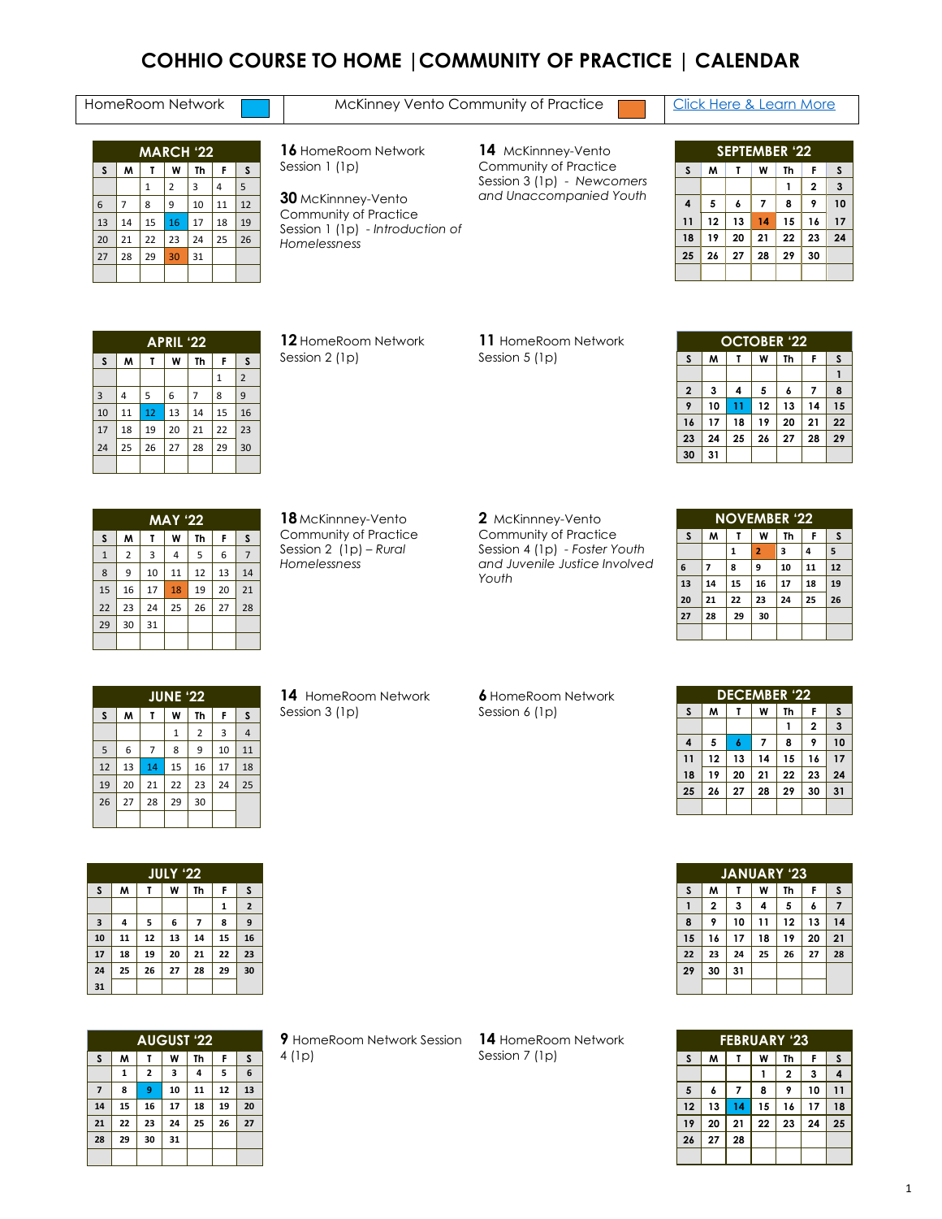## **COHHIO COURSE TO HOME |COMMUNITY OF PRACTICE | CALENDAR**

#### HomeRoom Network **Manual [Click Here & Learn More](https://cohhio.org/wp-content/uploads/2022/03/Guide-to-Community-of-Practice-3.25.2022-2.pdf)** McKinney Vento Community of Practice **Community** Click Here & Learn More

| <b>MARCH '22</b> |    |                        |                |    |    |    |  |  |  |
|------------------|----|------------------------|----------------|----|----|----|--|--|--|
| S                | M  | W<br>Th<br>F<br>S<br>T |                |    |    |    |  |  |  |
|                  |    | 1                      | $\overline{2}$ | 3  | 4  | 5  |  |  |  |
| 6                | 7  | 8                      | 9              | 10 | 11 | 12 |  |  |  |
| 13               | 14 | 15                     | 16             | 17 | 18 | 19 |  |  |  |
| 20               | 21 | 22                     | 23             | 24 | 25 | 26 |  |  |  |
| 27               | 28 | 29                     | 30             | 31 |    |    |  |  |  |
|                  |    |                        |                |    |    |    |  |  |  |

 HomeRoom Network Session 1 (1p)

 McKinnney-Vento Community of Practice Session 1 (1p) - *Introduction of Homelessness* 

 McKinnney-Vento Community of Practice Session 3 (1p) - *Newcomers and Unaccompanied Youth*

| <b>SEPTEMBER '22</b> |    |                        |    |    |                |    |  |  |  |
|----------------------|----|------------------------|----|----|----------------|----|--|--|--|
| S                    | M  | S<br>F<br>W<br>Th<br>т |    |    |                |    |  |  |  |
|                      |    |                        |    | 1  | $\overline{2}$ | 3  |  |  |  |
| $\overline{4}$       | 5  | 6                      | 7  | 8  | 9              | 10 |  |  |  |
| 11                   | 12 | 13                     | 14 | 15 | 16             | 17 |  |  |  |
| 18                   | 19 | 20                     | 21 | 22 | 23             | 24 |  |  |  |
| 25                   | 26 | 27                     | 28 | 29 | 30             |    |  |  |  |
|                      |    |                        |    |    |                |    |  |  |  |

|                                  | <b>APRIL '22</b> |    |    |                |              |                |  |  |  |  |
|----------------------------------|------------------|----|----|----------------|--------------|----------------|--|--|--|--|
| S<br>M<br>Th<br>W<br>F<br>S<br>т |                  |    |    |                |              |                |  |  |  |  |
|                                  |                  |    |    |                | $\mathbf{1}$ | $\overline{2}$ |  |  |  |  |
| 3                                | 4                | 5  | 6  | $\overline{7}$ | 8            | 9              |  |  |  |  |
| 10                               | 11               | 12 | 13 | 14             | 15           | 16             |  |  |  |  |
| 17                               | 18               | 19 | 20 | 21             | 22           | 23             |  |  |  |  |
| 24                               | 25               | 26 | 27 | 28             | 29           | 30             |  |  |  |  |
|                                  |                  |    |    |                |              |                |  |  |  |  |

 HomeRoom Network Session 2 (1p)

 HomeRoom Network Session 5 (1p)

|                         | <b>OCTOBER '22</b> |                        |    |    |    |    |  |  |  |
|-------------------------|--------------------|------------------------|----|----|----|----|--|--|--|
| S                       | M                  | F<br>Th<br>W<br>S<br>т |    |    |    |    |  |  |  |
|                         |                    |                        |    |    |    |    |  |  |  |
| $\overline{\mathbf{2}}$ | 3                  | 4                      | 5  | 6  |    | 8  |  |  |  |
| 9                       | 10                 | 11                     | 12 | 13 | 14 | 15 |  |  |  |
| 16                      | 17                 | 18                     | 19 | 20 | 21 | 22 |  |  |  |
| 23                      | 24                 | 25                     | 26 | 27 | 28 | 29 |  |  |  |
| 30                      | 31                 |                        |    |    |    |    |  |  |  |

| <b>MAY '22</b> |                |    |    |    |    |                |  |  |  |
|----------------|----------------|----|----|----|----|----------------|--|--|--|
| S              | M              | T  | W  | Th | F  | S              |  |  |  |
| $\mathbf 1$    | $\overline{2}$ | 3  | 4  | 5  | 6  | $\overline{7}$ |  |  |  |
| 8              | 9              | 10 | 11 | 12 | 13 | 14             |  |  |  |
| 15             | 16             | 17 | 18 | 19 | 20 | 21             |  |  |  |
| 22             | 23             | 24 | 25 | 26 | 27 | 28             |  |  |  |
| 29             | 30             | 31 |    |    |    |                |  |  |  |
|                |                |    |    |    |    |                |  |  |  |

 McKinnney-Vento Community of Practice Session 2 (1p) – *Rural Homelessness* 

 McKinnney-Vento Community of Practice Session 4 (1p) *- Foster Youth and Juvenile Justice Involved Youth*

| <b>NOVEMBER '22</b> |    |                        |                |    |    |    |  |  |
|---------------------|----|------------------------|----------------|----|----|----|--|--|
| S                   | M  | W<br>F<br>Th<br>S<br>Τ |                |    |    |    |  |  |
|                     |    | 1                      | $\overline{2}$ | 3  | 4  | 5  |  |  |
| 6                   | 7  | 8                      | 9              | 10 | 11 | 12 |  |  |
| 13                  | 14 | 15                     | 16             | 17 | 18 | 19 |  |  |
| 20                  | 21 | 22                     | 23             | 24 | 25 | 26 |  |  |
| 27                  | 28 | 29                     | 30             |    |    |    |  |  |
|                     |    |                        |                |    |    |    |  |  |

| <b>JUNE '22</b> |    |    |    |                |    |                |  |  |  |  |
|-----------------|----|----|----|----------------|----|----------------|--|--|--|--|
| S               | M  | T  | W  | Th             | F  | S              |  |  |  |  |
|                 |    |    | 1  | $\overline{2}$ | 3  | $\overline{4}$ |  |  |  |  |
| 5               | 6  | 7  | 8  | 9              | 10 | 11             |  |  |  |  |
| 12              | 13 | 14 | 15 | 16             | 17 | 18             |  |  |  |  |
| 19              | 20 | 21 | 22 | 23             | 24 | 25             |  |  |  |  |
| 26              | 27 | 28 | 29 | 30             |    |                |  |  |  |  |
|                 |    |    |    |                |    |                |  |  |  |  |

HomeRoom Network Session 3 (1p)

 HomeRoom Network Session 6 (1p)

|    | <b>DECEMBER '22</b>         |    |    |    |                |    |  |  |  |
|----|-----------------------------|----|----|----|----------------|----|--|--|--|
| S  | W<br>S<br>M<br>Th<br>F<br>τ |    |    |    |                |    |  |  |  |
|    |                             |    |    |    | $\overline{2}$ | 3  |  |  |  |
| 4  | 5                           |    |    | 8  | 9              | 10 |  |  |  |
| 11 | 12                          | 13 | 14 | 15 | 16             | 17 |  |  |  |
| 18 | 19                          | 20 | 21 | 22 | 23             | 24 |  |  |  |
| 25 | 26                          | 27 | 28 | 29 | 30             | 31 |  |  |  |
|    |                             |    |    |    |                |    |  |  |  |

| <b>JANUARY '23</b> |                |    |    |    |    |    |  |  |  |
|--------------------|----------------|----|----|----|----|----|--|--|--|
| S                  | M              | т  | W  | Th | F  | S  |  |  |  |
|                    | $\overline{2}$ | 3  | 4  | 5  | 6  | 7  |  |  |  |
| 8                  | 9              | 10 | 11 | 12 | 13 | 14 |  |  |  |
| 15                 | 16             | 17 | 18 | 19 | 20 | 21 |  |  |  |
| 22                 | 23             | 24 | 25 | 26 | 27 | 28 |  |  |  |
| 29                 | 30             | 31 |    |    |    |    |  |  |  |
|                    |                |    |    |    |    |    |  |  |  |

| <b>FEBRUARY '23</b> |    |                        |    |                |    |                |  |  |  |
|---------------------|----|------------------------|----|----------------|----|----------------|--|--|--|
| S                   | M  | F<br>S<br>Th<br>W<br>Τ |    |                |    |                |  |  |  |
|                     |    |                        |    | $\overline{2}$ | 3  | $\overline{4}$ |  |  |  |
| 5                   | 6  | 7                      | 8  | 9              | 10 | 11             |  |  |  |
| 12                  | 13 | 14                     | 15 | 16             | 17 | 18             |  |  |  |
| 19                  | 20 | 21                     | 22 | 23             | 24 | 25             |  |  |  |
| 26                  | 27 | 28                     |    |                |    |                |  |  |  |
|                     |    |                        |    |                |    |                |  |  |  |

|                         |    |    | JULY '22 |    |    |             |  |
|-------------------------|----|----|----------|----|----|-------------|--|
| S                       | W  | т  | W        | Th | F  | S           |  |
|                         |    |    |          |    | 1  | $\mathbf 2$ |  |
| $\overline{\mathbf{3}}$ | 4  | 5  | 6        | 7  | 8  | 9           |  |
| 10                      | 11 | 12 | 13       | 14 | 15 | 16          |  |
| 17                      | 18 | 19 | 20       | 21 | 22 | 23          |  |
| 24                      | 25 | 26 | 27       | 28 | 29 | 30          |  |

| <b>AUGUST '22</b> |    |                |    |    |    |    |  |  |
|-------------------|----|----------------|----|----|----|----|--|--|
| S                 | M  | т              | W  | Th | F  | S  |  |  |
|                   | 1  | $\overline{2}$ | 3  | 4  | 5  | 6  |  |  |
| $\overline{7}$    | 8  | 9              | 10 | 11 | 12 | 13 |  |  |
| 14                | 15 | 16             | 17 | 18 | 19 | 20 |  |  |
| 21                | 22 | 23             | 24 | 25 | 26 | 27 |  |  |
| 28                | 29 | 30             | 31 |    |    |    |  |  |
|                   |    |                |    |    |    |    |  |  |

HomeRoom Network Session (1p)

HomeRoom Network Session 7 (1p)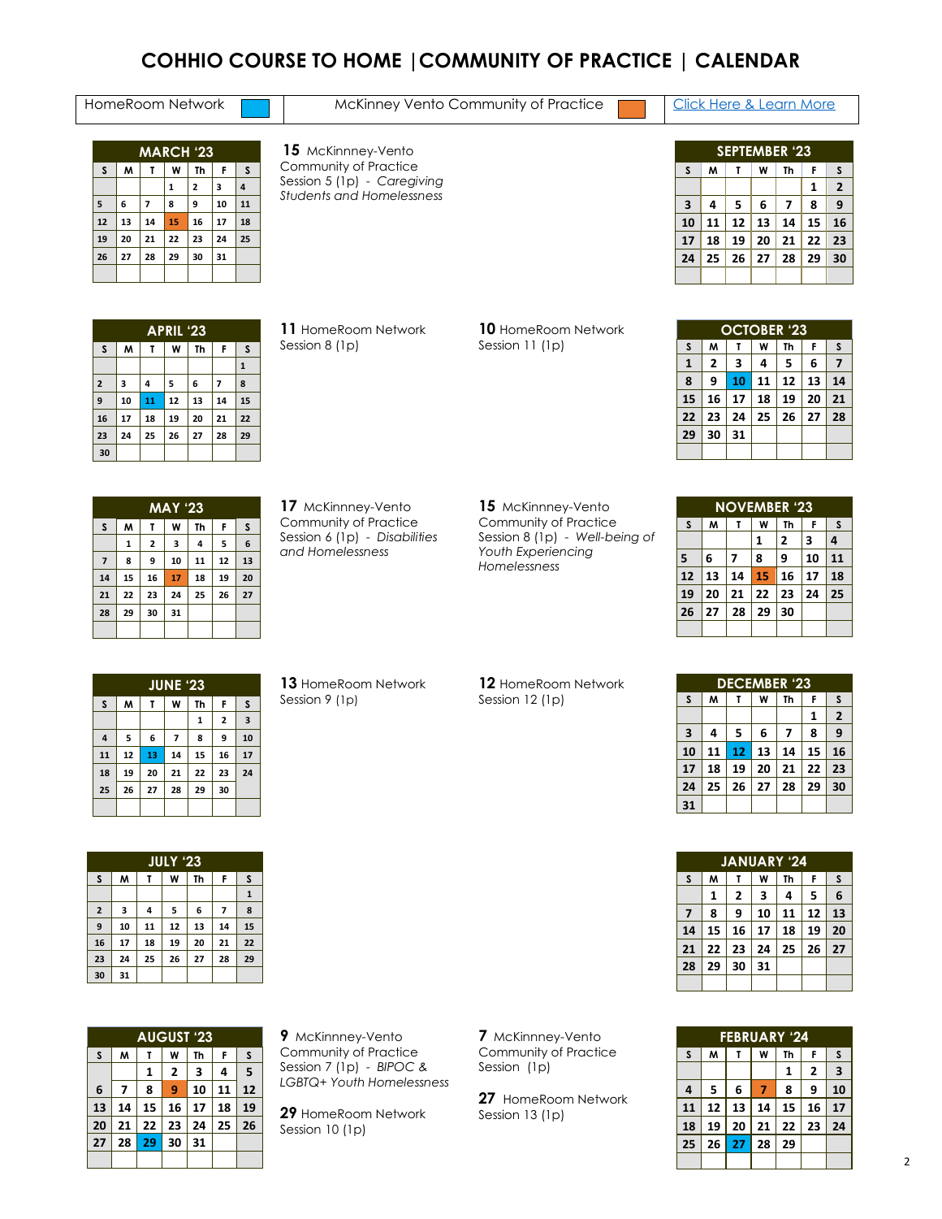### **COHHIO COURSE TO HOME |COMMUNITY OF PRACTICE | CALENDAR**

### HomeRoom Network **Manual Click Here & Learn More** McKinney Vento Community of Practice **Community** Click Here & Learn More

| <b>MARCH '23</b> |                             |    |    |    |    |    |  |  |  |  |
|------------------|-----------------------------|----|----|----|----|----|--|--|--|--|
| S                | M<br>W<br>F<br>S<br>Th<br>τ |    |    |    |    |    |  |  |  |  |
|                  |                             |    | 1  | 2  | 3  | 4  |  |  |  |  |
| 5                | 6                           | 7  | 8  | 9  | 10 | 11 |  |  |  |  |
| 12               | 13                          | 14 | 15 | 16 | 17 | 18 |  |  |  |  |
| 19               | 20                          | 21 | 22 | 23 | 24 | 25 |  |  |  |  |
| 26               | 27                          | 28 | 29 | 30 | 31 |    |  |  |  |  |
|                  |                             |    |    |    |    |    |  |  |  |  |

 McKinnney-Vento Community of Practice Session 5 (1p) - *Caregiving Students and Homelessness*

|                         | <b>SEPTEMBER '23</b> |    |    |    |    |                |  |  |
|-------------------------|----------------------|----|----|----|----|----------------|--|--|
| S                       | м                    | Т  | W  | Th | F  | S              |  |  |
|                         |                      |    |    |    | 1  | $\overline{2}$ |  |  |
| $\overline{\mathbf{3}}$ | 4                    | 5  | 6  | 7  | 8  | 9              |  |  |
| 10                      | 11                   | 12 | 13 | 14 | 15 | 16             |  |  |
| 17                      | 18                   | 19 | 20 | 21 | 22 | 23             |  |  |
| 24                      | 25                   | 26 | 27 | 28 | 29 | 30             |  |  |
|                         |                      |    |    |    |    |                |  |  |

|                         | <b>APRIL '23</b> |    |    |           |                |    |  |  |  |
|-------------------------|------------------|----|----|-----------|----------------|----|--|--|--|
| S                       | W                | τ  | W  | <b>Th</b> | F              | S  |  |  |  |
|                         |                  |    |    |           |                | 1  |  |  |  |
| $\overline{\mathbf{c}}$ | 3                | 4  | 5  | 6         | $\overline{z}$ | 8  |  |  |  |
| 9                       | 10               | 11 | 12 | 13        | 14             | 15 |  |  |  |
| 16                      | 17               | 18 | 19 | 20        | 21             | 22 |  |  |  |
| 23                      | 24               | 25 | 26 | 27        | 28             | 29 |  |  |  |
| 30                      |                  |    |    |           |                |    |  |  |  |

 HomeRoom Network Session 8 (1p)

#### HomeRoom Network Session 11 (1p)

| <b>OCTOBER '23</b> |    |    |    |    |    |    |  |  |
|--------------------|----|----|----|----|----|----|--|--|
| S                  | M  | Т  | W  | Th | F  | S  |  |  |
| $\mathbf{1}$       | 2  | 3  | 4  | 5  | 6  | 7  |  |  |
| 8                  | 9  | 10 | 11 | 12 | 13 | 14 |  |  |
| 15                 | 16 | 17 | 18 | 19 | 20 | 21 |  |  |
| 22                 | 23 | 24 | 25 | 26 | 27 | 28 |  |  |
| 29                 | 30 | 31 |    |    |    |    |  |  |
|                    |    |    |    |    |    |    |  |  |

|                | <b>MAY '23</b> |                         |    |    |    |    |  |  |  |
|----------------|----------------|-------------------------|----|----|----|----|--|--|--|
| $\mathsf{s}$   | M              | T                       | W  | Th | F  | S  |  |  |  |
|                | 1              | $\overline{\mathbf{z}}$ | 3  | 4  | 5  | 6  |  |  |  |
| $\overline{z}$ | 8              | 9                       | 10 | 11 | 12 | 13 |  |  |  |
| 14             | 15             | 16                      | 17 | 18 | 19 | 20 |  |  |  |
| 21             | 22             | 23                      | 24 | 25 | 26 | 27 |  |  |  |
| 28             | 29             | 30                      | 31 |    |    |    |  |  |  |
|                |                |                         |    |    |    |    |  |  |  |

 McKinnney-Vento Community of Practice Session 6 (1p) - *Disabilities* 

*and Homelessness*

#### McKinnney-Vento Community of Practice Session 8 (1p) - *Well-being of Youth Experiencing Homelessness*

| <b>NOVEMBER '23</b> |                             |    |    |    |    |    |  |  |
|---------------------|-----------------------------|----|----|----|----|----|--|--|
| S                   | M<br>W<br>F<br>Th<br>S<br>т |    |    |    |    |    |  |  |
|                     |                             |    | 1  | 2  | 3  | 4  |  |  |
| 5                   | 6                           | 7  | 8  | 9  | 10 | 11 |  |  |
| 12                  | 13                          | 14 | 15 | 16 | 17 | 18 |  |  |
| 19                  | 20                          | 21 | 22 | 23 | 24 | 25 |  |  |
| 26                  | 27                          | 28 | 29 | 30 |    |    |  |  |
|                     |                             |    |    |    |    |    |  |  |

|                | <b>JUNE '23</b> |    |                |    |                         |                         |  |  |
|----------------|-----------------|----|----------------|----|-------------------------|-------------------------|--|--|
| S              | M               | т  | W              | Th | F                       | S                       |  |  |
|                |                 |    |                | 1  | $\overline{\mathbf{2}}$ | $\overline{\mathbf{3}}$ |  |  |
| $\overline{4}$ | 5               | 6  | $\overline{7}$ | 8  | 9                       | 10                      |  |  |
| 11             | 12              | 13 | 14             | 15 | 16                      | 17                      |  |  |
| 18             | 19              | 20 | 21             | 22 | 23                      | 24                      |  |  |
| 25             | 26              | 27 | 28             | 29 | 30                      |                         |  |  |
|                |                 |    |                |    |                         |                         |  |  |

HomeRoom Network Session 9 (1p)

#### HomeRoom Network Session 12 (1p)

|    | <b>DECEMBER '23</b> |    |    |    |    |              |  |  |  |
|----|---------------------|----|----|----|----|--------------|--|--|--|
| S  | M                   | т  | W  | Th | F  | S            |  |  |  |
|    |                     |    |    |    | 1  | $\mathbf{2}$ |  |  |  |
| 3  | 4                   | 5  | 6  | 7  | 8  | 9            |  |  |  |
| 10 | 11                  | 12 | 13 | 14 | 15 | 16           |  |  |  |
| 17 | 18                  | 19 | 20 | 21 | 22 | 23           |  |  |  |
| 24 | 25                  | 26 | 27 | 28 | 29 | 30           |  |  |  |
| 31 |                     |    |    |    |    |              |  |  |  |

|    | <b>JANUARY '24</b> |    |    |    |    |    |  |  |  |
|----|--------------------|----|----|----|----|----|--|--|--|
| S  | M                  |    | W  | Th | F  | S  |  |  |  |
|    | 1                  | 2  | 3  | 4  | 5  | 6  |  |  |  |
| 7  | 8                  | 9  | 10 | 11 | 12 | 13 |  |  |  |
| 14 | 15                 | 16 | 17 | 18 | 19 | 20 |  |  |  |
| 21 | 22                 | 23 | 24 | 25 | 26 | 27 |  |  |  |
| 28 | 29                 | 30 | 31 |    |    |    |  |  |  |
|    |                    |    |    |    |    |    |  |  |  |

| <b>FEBRUARY '24</b>        |                             |    |    |    |    |    |  |  |  |
|----------------------------|-----------------------------|----|----|----|----|----|--|--|--|
| S                          | м<br>Th<br>W<br>F<br>S<br>т |    |    |    |    |    |  |  |  |
|                            |                             |    |    | 1  | 2  | 3  |  |  |  |
| 4                          | 5                           | 6  | 7  | 8  | 9  | 10 |  |  |  |
| 11                         | 12                          | 13 | 14 | 15 | 16 | 17 |  |  |  |
| 18                         | 19                          | 20 | 21 | 22 | 23 | 24 |  |  |  |
| 28<br>29<br>25<br>26<br>27 |                             |    |    |    |    |    |  |  |  |
|                            |                             |    |    |    |    |    |  |  |  |

|                         |    |    |                 | -- | --             | --          |
|-------------------------|----|----|-----------------|----|----------------|-------------|
| 18                      | 19 | 20 | 21              | 22 | 23             | 24          |
| 25                      | 26 | 27 | 28              | 29 | 30             |             |
|                         |    |    |                 |    |                |             |
|                         |    |    |                 |    |                |             |
|                         |    |    |                 |    |                |             |
|                         |    |    | <b>JULY '23</b> |    |                |             |
| S                       | W  | T  | W               | Th | F              | S           |
|                         |    |    |                 |    |                | $\mathbf 1$ |
| $\overline{\mathbf{2}}$ | 3  | 4  | 5               | 6  | $\overline{7}$ | 8           |
| 9                       | 10 | 11 | 12              | 13 | 14             | 15          |

 **17 18 19 20 21 22 24 25 26 27 28 29**

**31**

| <b>AUGUST '23</b> |                |    |    |    |    |    |  |  |
|-------------------|----------------|----|----|----|----|----|--|--|
| S                 | M              | т  | W  | Th | F  | S  |  |  |
|                   |                | 1  | 2  | 3  | 4  | 5  |  |  |
| 6                 | $\overline{7}$ | 8  | 9  | 10 | 11 | 12 |  |  |
| 13                | 14             | 15 | 16 | 17 | 18 | 19 |  |  |
| 20                | 21             | 22 | 23 | 24 | 25 | 26 |  |  |
| 27                | 28             | 29 | 30 | 31 |    |    |  |  |
|                   |                |    |    |    |    |    |  |  |

 McKinnney-Vento Community of Practice Session 7 (1p) - *BIPOC & LGBTQ+ Youth Homelessness*

 HomeRoom Network Session 10 (1p)

McKinnney-Vento Community of Practice Session (1p)

HomeRoom Network Session 13 (1p)